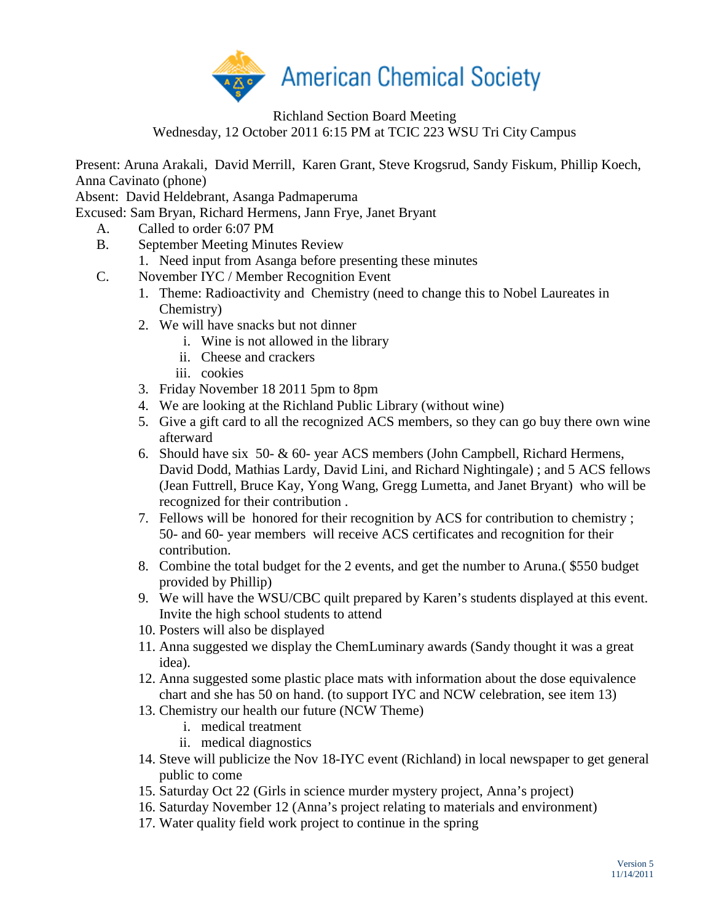

Richland Section Board Meeting

Wednesday, 12 October 2011 6:15 PM at TCIC 223 WSU Tri City Campus

Present: Aruna Arakali, David Merrill, Karen Grant, Steve Krogsrud, Sandy Fiskum, Phillip Koech, Anna Cavinato (phone)

Absent: David Heldebrant, Asanga Padmaperuma

Excused: Sam Bryan, Richard Hermens, Jann Frye, Janet Bryant

- A. Called to order 6:07 PM
- B. September Meeting Minutes Review
	- 1. Need input from Asanga before presenting these minutes
- C. November IYC / Member Recognition Event
	- 1. Theme: Radioactivity and Chemistry (need to change this to Nobel Laureates in Chemistry)
	- 2. We will have snacks but not dinner
		- i. Wine is not allowed in the library
		- ii. Cheese and crackers
		- iii. cookies
	- 3. Friday November 18 2011 5pm to 8pm
	- 4. We are looking at the Richland Public Library (without wine)
	- 5. Give a gift card to all the recognized ACS members, so they can go buy there own wine afterward
	- 6. Should have six 50- & 60- year ACS members (John Campbell, Richard Hermens, David Dodd, Mathias Lardy, David Lini, and Richard Nightingale) ; and 5 ACS fellows (Jean Futtrell, Bruce Kay, Yong Wang, Gregg Lumetta, and Janet Bryant) who will be recognized for their contribution .
	- 7. Fellows will be honored for their recognition by ACS for contribution to chemistry ; 50- and 60- year members will receive ACS certificates and recognition for their contribution.
	- 8. Combine the total budget for the 2 events, and get the number to Aruna.( \$550 budget provided by Phillip)
	- 9. We will have the WSU/CBC quilt prepared by Karen's students displayed at this event. Invite the high school students to attend
	- 10. Posters will also be displayed
	- 11. Anna suggested we display the ChemLuminary awards (Sandy thought it was a great idea).
	- 12. Anna suggested some plastic place mats with information about the dose equivalence chart and she has 50 on hand. (to support IYC and NCW celebration, see item 13)
	- 13. Chemistry our health our future (NCW Theme)
		- i. medical treatment
		- ii. medical diagnostics
	- 14. Steve will publicize the Nov 18-IYC event (Richland) in local newspaper to get general public to come
	- 15. Saturday Oct 22 (Girls in science murder mystery project, Anna's project)
	- 16. Saturday November 12 (Anna's project relating to materials and environment)
	- 17. Water quality field work project to continue in the spring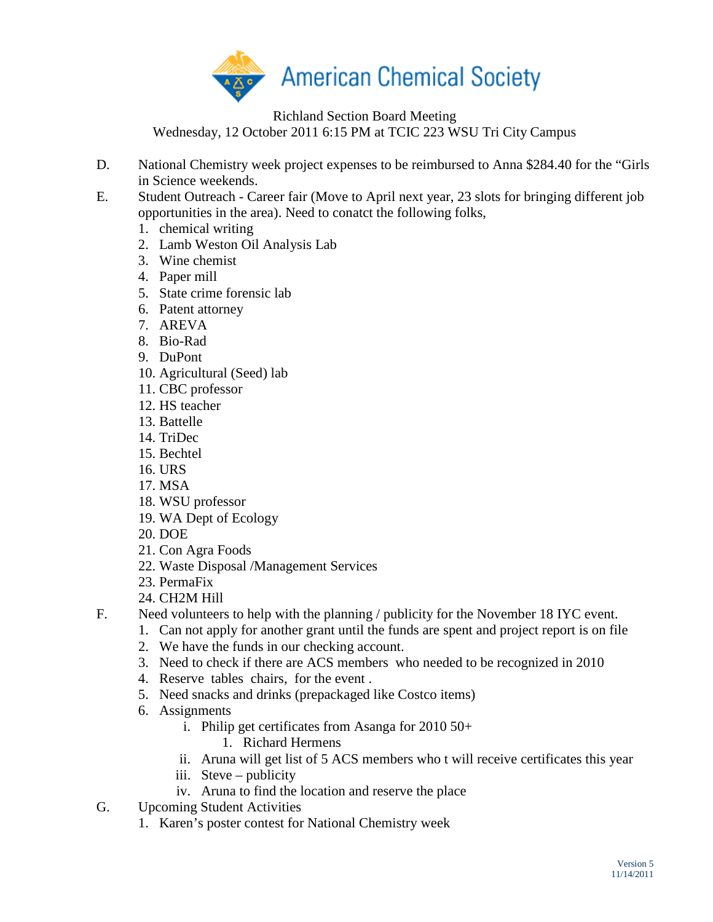

Richland Section Board Meeting

Wednesday, 12 October 2011 6:15 PM at TCIC 223 WSU Tri City Campus

- D. National Chemistry week project expenses to be reimbursed to Anna \$284.40 for the "Girls in Science weekends.
- E. Student Outreach Career fair (Move to April next year, 23 slots for bringing different job opportunities in the area). Need to conatct the following folks,
	- 1. chemical writing
	- 2. Lamb Weston Oil Analysis Lab
	- 3. Wine chemist
	- 4. Paper mill
	- 5. State crime forensic lab
	- 6. Patent attorney
	- 7. AREVA
	- 8. Bio-Rad
	- 9. DuPont
	- 10. Agricultural (Seed) lab
	- 11. CBC professor
	- 12. HS teacher
	- 13. Battelle
	- 14. TriDec
	- 15. Bechtel
	- 16. URS
	- 17. MSA
	- 18. WSU professor
	- 19. WA Dept of Ecology
	- 20. DOE
	- 21. Con Agra Foods
	- 22. Waste Disposal /Management Services
	- 23. PermaFix
	- 24. CH2M Hill
- F. Need volunteers to help with the planning / publicity for the November 18 IYC event.
	- 1. Can not apply for another grant until the funds are spent and project report is on file
		- 2. We have the funds in our checking account.
		- 3. Need to check if there are ACS members who needed to be recognized in 2010
		- 4. Reserve tables chairs, for the event .
		- 5. Need snacks and drinks (prepackaged like Costco items)
	- 6. Assignments
		- i. Philip get certificates from Asanga for 2010 50+
			- 1. Richard Hermens
		- ii. Aruna will get list of 5 ACS members who t will receive certificates this year
		- iii. Steve publicity
		- iv. Aruna to find the location and reserve the place
- G. Upcoming Student Activities
	- 1. Karen's poster contest for National Chemistry week